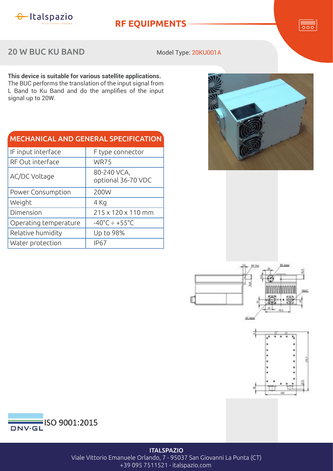

**RF EQUIPMENTS**

 $\overline{\overline{\circ\circ}}$ 

## 20 W BUC KU BAND

Model Type: 20KU001A

**This device is suitable for various satellite applications.** The BUC performs the translation of the input signal from L Band to Ku Band and do the amplifies of the input signal up to 20W.

| <b>MECHANICAL AND GENERAL SPECIFICATION</b> |                                    |  |
|---------------------------------------------|------------------------------------|--|
| IF input interface                          | F type connector                   |  |
| RF Out interface                            | <b>WR75</b>                        |  |
| AC/DC Voltage                               | 80-240 VCA,<br>optional 36-70 VDC  |  |
| Power Consumption                           | 200W                               |  |
| Weight                                      | 4 Kg                               |  |
| Dimension                                   | 215 x 120 x 110 mm                 |  |
| Operating temperature                       | $-40^{\circ}$ C ÷ +55 $^{\circ}$ C |  |
| Relative humidity                           | Up to 98%                          |  |
| Water protection                            | <b>IP67</b>                        |  |









**ITALSPAZIO** Viale Vittorio Emanuele Orlando, 7 - 95037 San Giovanni La Punta (CT) +39 095 7511521 - italspazio.com